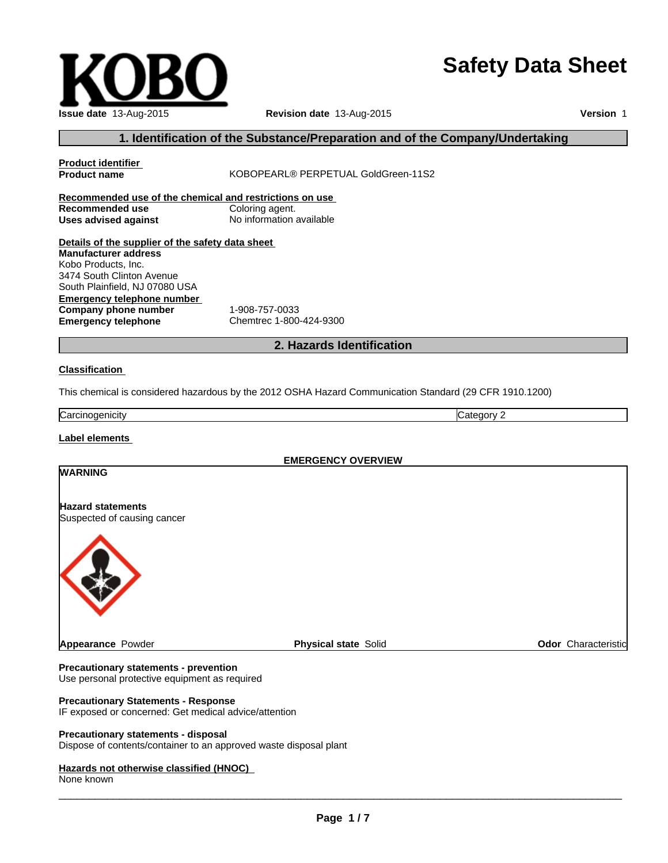# **Safety Data Sheet**

### **Issue date** 13-Aug-2015 **Revision date** 13-Aug-2015

**Product name** KOBOPEARL® PERPETUAL GoldGreen-11S2

**Version** 1

### **1. Identification of the Substance/Preparation and of the Company/Undertaking**

| Recommended use of the chemical and restrictions on use<br><b>Recommended use</b><br><b>Uses advised against</b>                                                                                                                   | Coloring agent.<br>No information available                                                             |                            |
|------------------------------------------------------------------------------------------------------------------------------------------------------------------------------------------------------------------------------------|---------------------------------------------------------------------------------------------------------|----------------------------|
| Details of the supplier of the safety data sheet<br><b>Manufacturer address</b><br>Kobo Products, Inc.<br>3474 South Clinton Avenue<br>South Plainfield, NJ 07080 USA<br><b>Emergency telephone number</b><br>Company phone number | 1-908-757-0033                                                                                          |                            |
| <b>Emergency telephone</b>                                                                                                                                                                                                         | Chemtrec 1-800-424-9300                                                                                 |                            |
|                                                                                                                                                                                                                                    | 2. Hazards Identification                                                                               |                            |
| <b>Classification</b>                                                                                                                                                                                                              | This chemical is considered hazardous by the 2012 OSHA Hazard Communication Standard (29 CFR 1910.1200) |                            |
| Carcinogenicity                                                                                                                                                                                                                    |                                                                                                         | Category 2                 |
| <b>Label elements</b>                                                                                                                                                                                                              |                                                                                                         |                            |
| <b>WARNING</b>                                                                                                                                                                                                                     | <b>EMERGENCY OVERVIEW</b>                                                                               |                            |
|                                                                                                                                                                                                                                    |                                                                                                         |                            |
| <b>Hazard statements</b><br>Suspected of causing cancer                                                                                                                                                                            |                                                                                                         |                            |
|                                                                                                                                                                                                                                    |                                                                                                         |                            |
| <b>Appearance Powder</b>                                                                                                                                                                                                           | <b>Physical state Solid</b>                                                                             | <b>Odor</b> Characteristic |

**Product identifier** 

#### **Precautionary statements - prevention**

**Precautionary Statements - Response**

IF exposed or concerned: Get medical advice/attention

#### **Precautionary statements - disposal**

Dispose of contents/container to an approved waste disposal plant

Use personal protective equipment as required

#### **Hazards not otherwise classified (HNOC)**

None known

 $\overline{\phantom{a}}$  ,  $\overline{\phantom{a}}$  ,  $\overline{\phantom{a}}$  ,  $\overline{\phantom{a}}$  ,  $\overline{\phantom{a}}$  ,  $\overline{\phantom{a}}$  ,  $\overline{\phantom{a}}$  ,  $\overline{\phantom{a}}$  ,  $\overline{\phantom{a}}$  ,  $\overline{\phantom{a}}$  ,  $\overline{\phantom{a}}$  ,  $\overline{\phantom{a}}$  ,  $\overline{\phantom{a}}$  ,  $\overline{\phantom{a}}$  ,  $\overline{\phantom{a}}$  ,  $\overline{\phantom{a}}$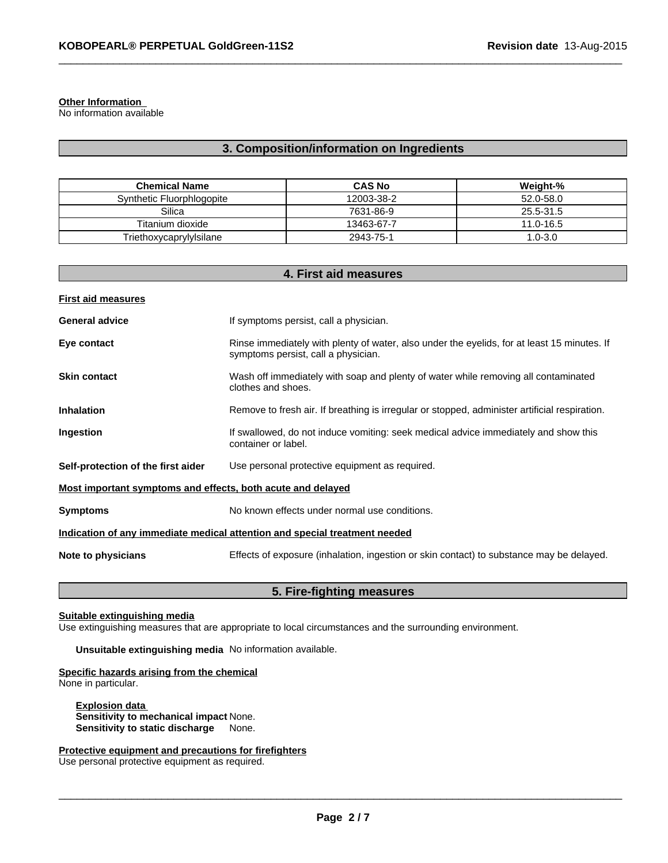#### **Other Information**

No information available

### **3. Composition/information on Ingredients**

 $\_$  ,  $\_$  ,  $\_$  ,  $\_$  ,  $\_$  ,  $\_$  ,  $\_$  ,  $\_$  ,  $\_$  ,  $\_$  ,  $\_$  ,  $\_$  ,  $\_$  ,  $\_$  ,  $\_$  ,  $\_$  ,  $\_$  ,  $\_$  ,  $\_$  ,  $\_$  ,  $\_$  ,  $\_$  ,  $\_$  ,  $\_$  ,  $\_$  ,  $\_$  ,  $\_$  ,  $\_$  ,  $\_$  ,  $\_$  ,  $\_$  ,  $\_$  ,  $\_$  ,  $\_$  ,  $\_$  ,  $\_$  ,  $\_$  ,

| <b>Chemical Name</b>      | <b>CAS No</b> | Weight-%      |
|---------------------------|---------------|---------------|
| Synthetic Fluorphlogopite | 12003-38-2    | 52.0-58.0     |
| Silica                    | 7631-86-9     | 25.5-31.5     |
| Titanium dioxide          | 13463-67-7    | $11.0 - 16.5$ |
| Triethoxycaprylylsilane   | 2943-75-1     | $1.0 - 3.0$   |

| 4. First aid measures                                       |                                                                                                                                    |  |  |
|-------------------------------------------------------------|------------------------------------------------------------------------------------------------------------------------------------|--|--|
| <b>First aid measures</b>                                   |                                                                                                                                    |  |  |
| <b>General advice</b>                                       | If symptoms persist, call a physician.                                                                                             |  |  |
| Eye contact                                                 | Rinse immediately with plenty of water, also under the eyelids, for at least 15 minutes. If<br>symptoms persist, call a physician. |  |  |
| <b>Skin contact</b>                                         | Wash off immediately with soap and plenty of water while removing all contaminated<br>clothes and shoes.                           |  |  |
| <b>Inhalation</b>                                           | Remove to fresh air. If breathing is irregular or stopped, administer artificial respiration.                                      |  |  |
| Ingestion                                                   | If swallowed, do not induce vomiting: seek medical advice immediately and show this<br>container or label.                         |  |  |
| Self-protection of the first aider                          | Use personal protective equipment as required.                                                                                     |  |  |
| Most important symptoms and effects, both acute and delayed |                                                                                                                                    |  |  |
| <b>Symptoms</b>                                             | No known effects under normal use conditions.                                                                                      |  |  |
|                                                             | Indication of any immediate medical attention and special treatment needed                                                         |  |  |
| Note to physicians                                          | Effects of exposure (inhalation, ingestion or skin contact) to substance may be delayed.                                           |  |  |

#### **5. Fire-fighting measures**

#### **Suitable extinguishing media**

Use extinguishing measures that are appropriate to local circumstances and the surrounding environment.

**Unsuitable extinguishing media** No information available.

**Specific hazards arising from the chemical** None in particular.

**Explosion data Sensitivity to mechanical impact** None. **Sensitivity to static discharge** None.

**Protective equipment and precautions for firefighters**

Use personal protective equipment as required.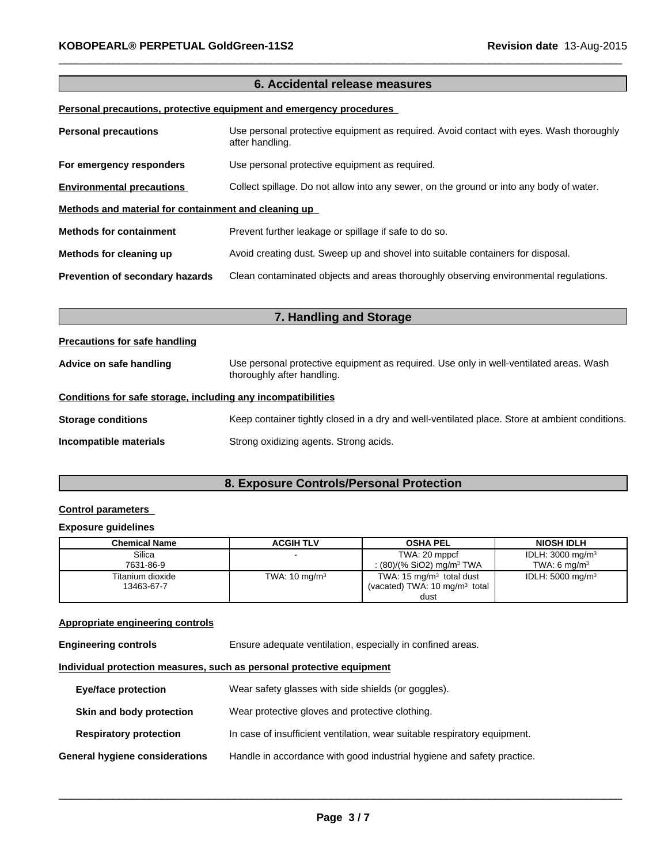### **6. Accidental release measures**

 $\_$  ,  $\_$  ,  $\_$  ,  $\_$  ,  $\_$  ,  $\_$  ,  $\_$  ,  $\_$  ,  $\_$  ,  $\_$  ,  $\_$  ,  $\_$  ,  $\_$  ,  $\_$  ,  $\_$  ,  $\_$  ,  $\_$  ,  $\_$  ,  $\_$  ,  $\_$  ,  $\_$  ,  $\_$  ,  $\_$  ,  $\_$  ,  $\_$  ,  $\_$  ,  $\_$  ,  $\_$  ,  $\_$  ,  $\_$  ,  $\_$  ,  $\_$  ,  $\_$  ,  $\_$  ,  $\_$  ,  $\_$  ,  $\_$  ,

#### **Personal precautions, protective equipment and emergency procedures**

| <b>Personal precautions</b>                          | Use personal protective equipment as required. Avoid contact with eyes. Wash thoroughly<br>after handling. |  |  |  |
|------------------------------------------------------|------------------------------------------------------------------------------------------------------------|--|--|--|
| For emergency responders                             | Use personal protective equipment as required.                                                             |  |  |  |
| <b>Environmental precautions</b>                     | Collect spillage. Do not allow into any sewer, on the ground or into any body of water.                    |  |  |  |
| Methods and material for containment and cleaning up |                                                                                                            |  |  |  |
| <b>Methods for containment</b>                       | Prevent further leakage or spillage if safe to do so.                                                      |  |  |  |
| Methods for cleaning up                              | Avoid creating dust. Sweep up and shovel into suitable containers for disposal.                            |  |  |  |
| <b>Prevention of secondary hazards</b>               | Clean contaminated objects and areas thoroughly observing environmental regulations.                       |  |  |  |

| 7. Handling and Storage                                      |                                                                                                                      |  |  |
|--------------------------------------------------------------|----------------------------------------------------------------------------------------------------------------------|--|--|
| <b>Precautions for safe handling</b>                         |                                                                                                                      |  |  |
| Advice on safe handling                                      | Use personal protective equipment as required. Use only in well-ventilated areas. Wash<br>thoroughly after handling. |  |  |
| Conditions for safe storage, including any incompatibilities |                                                                                                                      |  |  |
| <b>Storage conditions</b>                                    | Keep container tightly closed in a dry and well-ventilated place. Store at ambient conditions.                       |  |  |
| Incompatible materials                                       | Strong oxidizing agents. Strong acids.                                                                               |  |  |

### **8. Exposure Controls/Personal Protection**

#### **Control parameters**

#### **Exposure guidelines**

| <b>Chemical Name</b> | <b>ACGIH TLV</b>         | <b>OSHA PEL</b>                          | <b>NIOSH IDLH</b>           |
|----------------------|--------------------------|------------------------------------------|-----------------------------|
| Silica               |                          | TWA: 20 mppcf                            | IDLH: $3000 \text{ mg/m}^3$ |
| 7631-86-9            |                          | : (80)/(% SiO2) mg/m <sup>3</sup> TWA    | TWA: 6 $mq/m3$              |
| Titanium dioxide     | TWA: $10 \text{ mg/m}^3$ | TWA: 15 $mg/m3$ total dust               | IDLH: $5000 \text{ mg/m}^3$ |
| 13463-67-7           |                          | (vacated) TWA: $10 \text{ mg/m}^3$ total |                             |
|                      |                          | dust                                     |                             |

#### **Appropriate engineering controls**

| Ensure adequate ventilation, especially in confined areas.<br><b>Engineering controls</b> |  |
|-------------------------------------------------------------------------------------------|--|
|-------------------------------------------------------------------------------------------|--|

#### **Individual protection measures, such as personal protective equipment**

| <b>Eye/face protection</b>     | Wear safety glasses with side shields (or goggles).                       |
|--------------------------------|---------------------------------------------------------------------------|
| Skin and body protection       | Wear protective gloves and protective clothing.                           |
| <b>Respiratory protection</b>  | In case of insufficient ventilation, wear suitable respiratory equipment. |
| General hygiene considerations | Handle in accordance with good industrial hygiene and safety practice.    |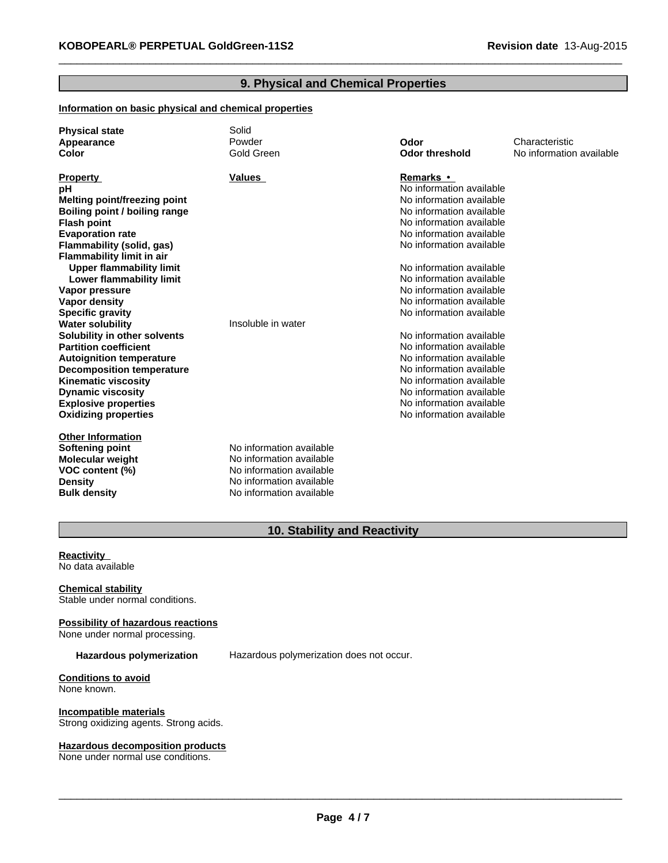### **9. Physical and Chemical Properties**

 $\_$  ,  $\_$  ,  $\_$  ,  $\_$  ,  $\_$  ,  $\_$  ,  $\_$  ,  $\_$  ,  $\_$  ,  $\_$  ,  $\_$  ,  $\_$  ,  $\_$  ,  $\_$  ,  $\_$  ,  $\_$  ,  $\_$  ,  $\_$  ,  $\_$  ,  $\_$  ,  $\_$  ,  $\_$  ,  $\_$  ,  $\_$  ,  $\_$  ,  $\_$  ,  $\_$  ,  $\_$  ,  $\_$  ,  $\_$  ,  $\_$  ,  $\_$  ,  $\_$  ,  $\_$  ,  $\_$  ,  $\_$  ,  $\_$  ,

### **Information on basic physical and chemical properties**

| <b>Physical state</b>            | Solid                    |                          |                          |
|----------------------------------|--------------------------|--------------------------|--------------------------|
| Appearance                       | Powder                   | Odor                     | Characteristic           |
| Color                            | Gold Green               | <b>Odor threshold</b>    | No information available |
|                                  |                          |                          |                          |
| <b>Property</b>                  | Values                   | Remarks •                |                          |
| рH                               |                          | No information available |                          |
| Melting point/freezing point     |                          | No information available |                          |
| Boiling point / boiling range    |                          | No information available |                          |
| <b>Flash point</b>               |                          | No information available |                          |
| <b>Evaporation rate</b>          |                          | No information available |                          |
| Flammability (solid, gas)        |                          | No information available |                          |
| <b>Flammability limit in air</b> |                          |                          |                          |
| <b>Upper flammability limit</b>  |                          | No information available |                          |
| Lower flammability limit         |                          | No information available |                          |
| Vapor pressure                   |                          | No information available |                          |
| Vapor density                    |                          | No information available |                          |
| <b>Specific gravity</b>          |                          | No information available |                          |
| <b>Water solubility</b>          | Insoluble in water       |                          |                          |
| Solubility in other solvents     |                          | No information available |                          |
| <b>Partition coefficient</b>     |                          | No information available |                          |
| <b>Autoignition temperature</b>  |                          | No information available |                          |
| <b>Decomposition temperature</b> |                          | No information available |                          |
| <b>Kinematic viscosity</b>       |                          | No information available |                          |
| <b>Dynamic viscosity</b>         |                          | No information available |                          |
| <b>Explosive properties</b>      |                          | No information available |                          |
| <b>Oxidizing properties</b>      |                          | No information available |                          |
| <b>Other Information</b>         |                          |                          |                          |
| Softening point                  | No information available |                          |                          |
| <b>Molecular weight</b>          | No information available |                          |                          |
| VOC content (%)                  | No information available |                          |                          |
| <b>Density</b>                   | No information available |                          |                          |
| <b>Bulk density</b>              | No information available |                          |                          |
|                                  |                          |                          |                          |

### **10. Stability and Reactivity**

**Reactivity**  No data available

**Chemical stability** Stable under normal conditions.

**Possibility of hazardous reactions** None under normal processing.

Hazardous polymerization Hazardous polymerization does not occur.

**Conditions to avoid** None known.

**Incompatible materials** Strong oxidizing agents. Strong acids.

#### **Hazardous decomposition products**

None under normal use conditions.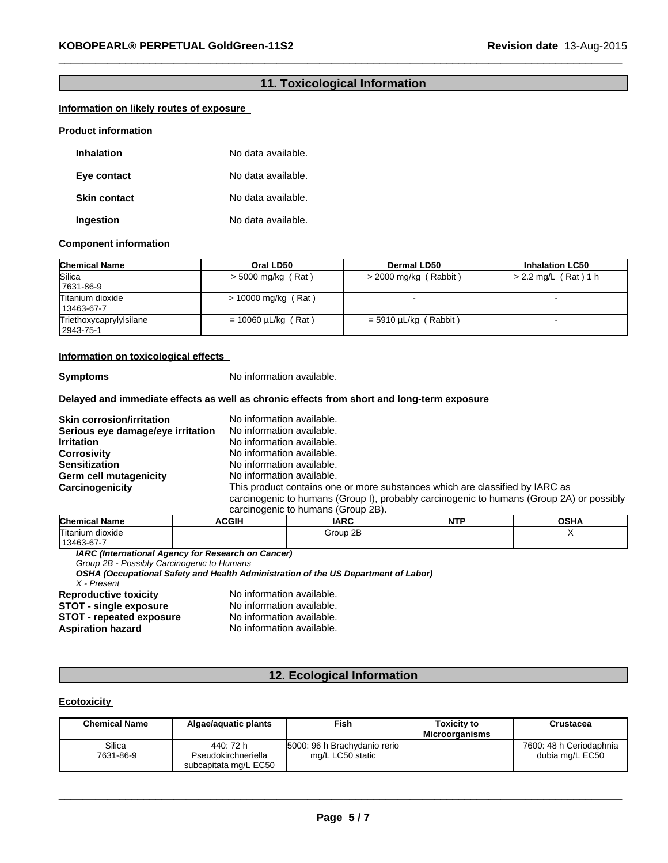### **11. Toxicological Information**

 $\_$  ,  $\_$  ,  $\_$  ,  $\_$  ,  $\_$  ,  $\_$  ,  $\_$  ,  $\_$  ,  $\_$  ,  $\_$  ,  $\_$  ,  $\_$  ,  $\_$  ,  $\_$  ,  $\_$  ,  $\_$  ,  $\_$  ,  $\_$  ,  $\_$  ,  $\_$  ,  $\_$  ,  $\_$  ,  $\_$  ,  $\_$  ,  $\_$  ,  $\_$  ,  $\_$  ,  $\_$  ,  $\_$  ,  $\_$  ,  $\_$  ,  $\_$  ,  $\_$  ,  $\_$  ,  $\_$  ,  $\_$  ,  $\_$  ,

#### **Information on likely routes of exposure**

#### **Product information**

| <b>Inhalation</b>   | No data available. |
|---------------------|--------------------|
| Eye contact         | No data available. |
| <b>Skin contact</b> | No data available. |
| Ingestion           | No data available. |

#### **Component information**

| <b>Chemical Name</b>                 | Oral LD50                | Dermal LD50             | <b>Inhalation LC50</b> |
|--------------------------------------|--------------------------|-------------------------|------------------------|
| Silica<br>7631-86-9                  | $>$ 5000 mg/kg (Rat)     | $>$ 2000 mg/kg (Rabbit) | $> 2.2$ mg/L (Rat) 1 h |
| Titanium dioxide<br>13463-67-7       | $> 10000$ mg/kg (Rat)    |                         |                        |
| Triethoxycaprylylsilane<br>2943-75-1 | $= 10060 \mu L/kg$ (Rat) | $=$ 5910 µL/kg (Rabbit) |                        |

#### **Information on toxicological effects**

**Symptoms** No information available.

#### **Delayed and immediate effects as well as chronic effects from short and long-term exposure**

**Skin corrosion/irritation** No information available.<br>**Serious eve damage/eve irritation** No information available. **Serious eye damage/eye irritation Irritation**<br> **Corrosivity** No information available.<br>
No information available. **Corrosivity Corrosivity No information available.**<br> **Sensitization** Moinformation available. **Germ cell mutagenicity** 

No information available.<br>No information available. **Carcinogenicity** This product contains one or more substances which are classified by IARC as carcinogenic to humans (Group I), probably carcinogenic to humans (Group 2A) or possibly

| carcinogenic to humans (Group 2B). |  |  |  |
|------------------------------------|--|--|--|
|                                    |  |  |  |

| <b>Chem</b><br>. .<br>Name<br>. | <b>ACGIH</b> | <b>IARC</b> | <b>NITD</b><br>. | OCDA<br>יחטע |
|---------------------------------|--------------|-------------|------------------|--------------|
| <b>Titanium</b><br>dioxide      |              | 2E<br>Group |                  | . .          |
| 1346<br>$\sim$<br>٬۰٫۰٬۰۳۰٬۰۰۰٬ |              |             |                  |              |

*IARC (International Agency for Research on Cancer)*

*Group 2B - Possibly Carcinogenic to Humans*

*OSHA (Occupational Safety and Health Administration of the US Department of Labor)*

*X - Present*

**STOT - repeated exposure<br>Aspiration hazard** 

**Reproductive toxicity** No information available.<br>**STOT - single exposure** No information available. **STOT - single exposure** No information available.<br> **STOT - repeated exposure** No information available. No information available.

#### **12. Ecological Information**

#### **Ecotoxicity**

| <b>Chemical Name</b> | Algae/aguatic plants             | Fish                                             | <b>Toxicity to</b><br><b>Microorganisms</b> | Crustacea                                  |
|----------------------|----------------------------------|--------------------------------------------------|---------------------------------------------|--------------------------------------------|
| Silica<br>7631-86-9  | 440: 72 h<br>Pseudokirchneriella | 5000: 96 h Brachydanio rerio<br>mg/L LC50 static |                                             | 7600: 48 h Ceriodaphnia<br>dubia mg/L EC50 |
|                      | subcapitata mg/L EC50            |                                                  |                                             |                                            |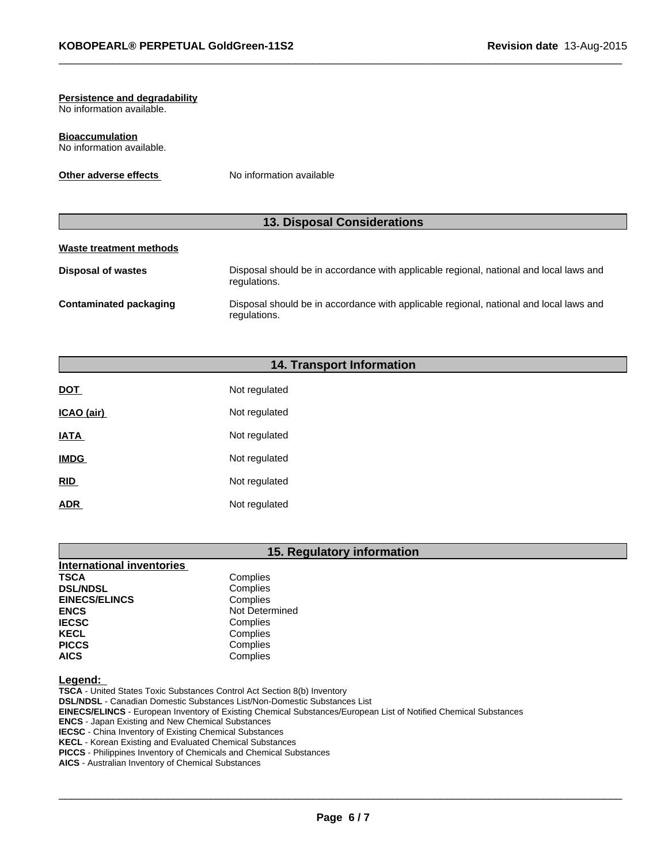#### **Persistence and degradability**

No information available.

**Bioaccumulation** No information available.

**Other adverse effects** No information available

### **13. Disposal Considerations**

 $\_$  ,  $\_$  ,  $\_$  ,  $\_$  ,  $\_$  ,  $\_$  ,  $\_$  ,  $\_$  ,  $\_$  ,  $\_$  ,  $\_$  ,  $\_$  ,  $\_$  ,  $\_$  ,  $\_$  ,  $\_$  ,  $\_$  ,  $\_$  ,  $\_$  ,  $\_$  ,  $\_$  ,  $\_$  ,  $\_$  ,  $\_$  ,  $\_$  ,  $\_$  ,  $\_$  ,  $\_$  ,  $\_$  ,  $\_$  ,  $\_$  ,  $\_$  ,  $\_$  ,  $\_$  ,  $\_$  ,  $\_$  ,  $\_$  ,

### **Waste treatment methods**

| Disposal of wastes     | Disposal should be in accordance with applicable regional, national and local laws and<br>regulations. |
|------------------------|--------------------------------------------------------------------------------------------------------|
| Contaminated packaging | Disposal should be in accordance with applicable regional, national and local laws and<br>regulations. |

#### **14. Transport Information**

| <b>DOT</b>  | Not regulated |
|-------------|---------------|
| ICAO (air)  | Not regulated |
| <b>IATA</b> | Not regulated |
| <b>IMDG</b> | Not regulated |
| <b>RID</b>  | Not regulated |
| <b>ADR</b>  | Not regulated |

## **15. Regulatory information**

| International inventories |                |
|---------------------------|----------------|
| <b>TSCA</b>               | Complies       |
| <b>DSL/NDSL</b>           | Complies       |
| <b>EINECS/ELINCS</b>      | Complies       |
| <b>ENCS</b>               | Not Determined |
| <b>IECSC</b>              | Complies       |
| <b>KECL</b>               | Complies       |
| <b>PICCS</b>              | Complies       |
| <b>AICS</b>               | Complies       |

**Legend:** 

**TSCA** - United States Toxic Substances Control Act Section 8(b) Inventory **DSL/NDSL** - Canadian Domestic Substances List/Non-Domestic Substances List **EINECS/ELINCS** - European Inventory of Existing Chemical Substances/European List of Notified Chemical Substances **ENCS** - Japan Existing and New Chemical Substances **IECSC** - China Inventory of Existing Chemical Substances **KECL** - Korean Existing and Evaluated Chemical Substances **PICCS** - Philippines Inventory of Chemicals and Chemical Substances

**AICS** - Australian Inventory of Chemical Substances